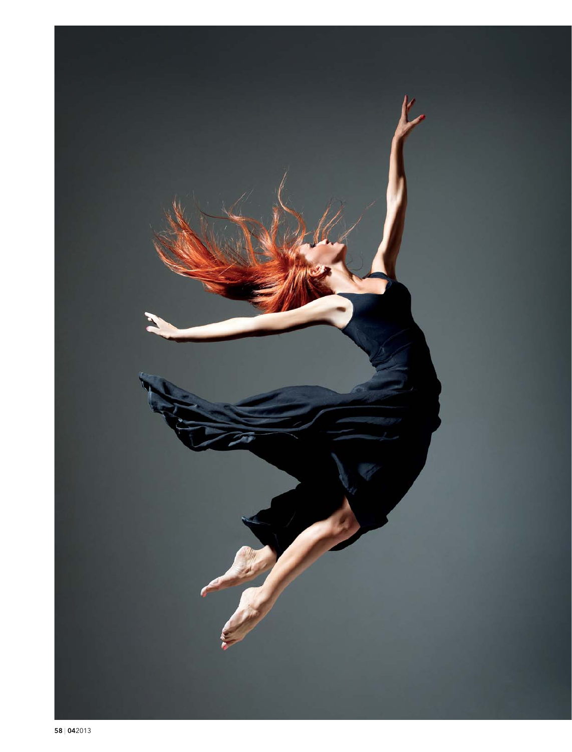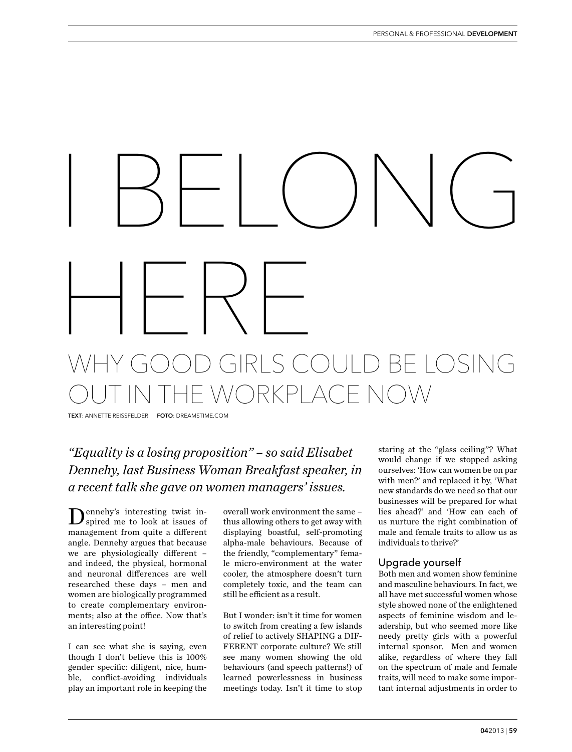# I BELONG HERE GIRLS COULD BE LOSING ORKPI A

TEXT: ANNETTE REISSFELDER FOTO: DREAMSTIME.COM

### *"Equality is a losing proposition" – so said Elisabet Dennehy, last Business Woman Breakfast speaker, in a recent talk she gave on women managers' issues.*

ennehy's interesting twist inspired me to look at issues of management from quite a different angle. Dennehy argues that because we are physiologically different and indeed, the physical, hormonal and neuronal differences are well researched these days – men and women are biologically programmed to create complementary environments; also at the office. Now that's an interesting point!

I can see what she is saying, even though I don't believe this is 100% gender specific: diligent, nice, humble, conflict-avoiding individuals play an important role in keeping the overall work environment the same – thus allowing others to get away with displaying boastful, self-promoting alpha-male behaviours. Because of the friendly, "complementary" female micro-environment at the water cooler, the atmosphere doesn't turn completely toxic, and the team can still be efficient as a result.

But I wonder: isn't it time for women to switch from creating a few islands of relief to actively SHAPING a DIF-FERENT corporate culture? We still see many women showing the old behaviours (and speech patterns!) of learned powerlessness in business meetings today. Isn't it time to stop

staring at the "glass ceiling"? What would change if we stopped asking ourselves: 'How can women be on par with men?' and replaced it by, 'What new standards do we need so that our businesses will be prepared for what lies ahead?' and 'How can each of us nurture the right combination of male and female traits to allow us as individuals to thrive?'

#### Upgrade yourself

Both men and women show feminine and masculine behaviours. In fact, we all have met successful women whose style showed none of the enlightened aspects of feminine wisdom and leadership, but who seemed more like needy pretty girls with a powerful internal sponsor. Men and women alike, regardless of where they fall on the spectrum of male and female traits, will need to make some important internal adjustments in order to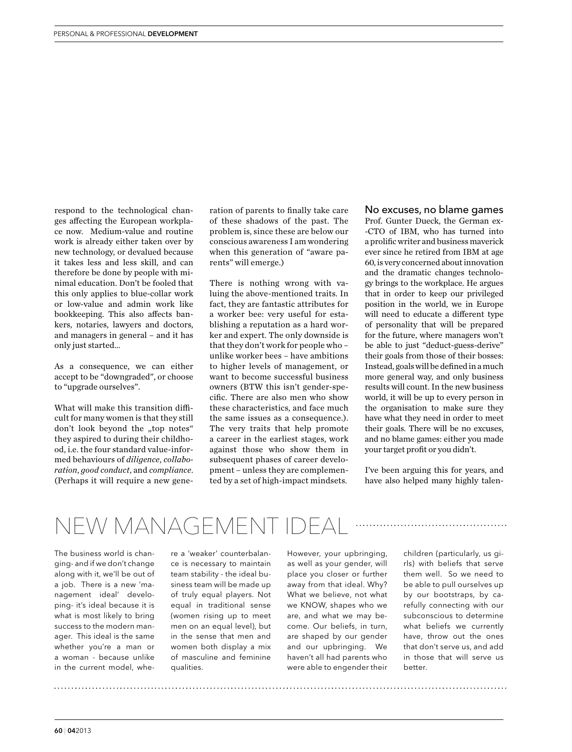respond to the technological changes affecting the European workplace now. Medium-value and routine work is already either taken over by new technology, or devalued because it takes less and less skill, and can therefore be done by people with minimal education. Don't be fooled that this only applies to blue-collar work or low-value and admin work like bookkeeping. This also affects bankers, notaries, lawyers and doctors, and managers in general – and it has only just started…

As a consequence, we can either accept to be "downgraded", or choose to "upgrade ourselves".

What will make this transition difficult for many women is that they still don't look beyond the "top notes" they aspired to during their childhood, i.e. the four standard value-informed behaviours of *diligence*, *collaboration*, *good conduct*, and *compliance*. (Perhaps it will require a new generation of parents to finally take care of these shadows of the past. The problem is, since these are below our conscious awareness I am wondering when this generation of "aware parents" will emerge.)

There is nothing wrong with valuing the above-mentioned traits. In fact, they are fantastic attributes for a worker bee: very useful for establishing a reputation as a hard worker and expert. The only downside is that they don't work for people who – unlike worker bees – have ambitions to higher levels of management, or want to become successful business owners (BTW this isn't gender-specific. There are also men who show these characteristics, and face much the same issues as a consequence.). The very traits that help promote a career in the earliest stages, work against those who show them in subsequent phases of career development – unless they are complemented by a set of high-impact mindsets.

#### No excuses, no blame games

Prof. Gunter Dueck, the German ex- -CTO of IBM, who has turned into a prolific writer and business maverick ever since he retired from IBM at age 60, is very concerned about innovation and the dramatic changes technology brings to the workplace. He argues that in order to keep our privileged position in the world, we in Europe will need to educate a different type of personality that will be prepared for the future, where managers won't be able to just "deduct-guess-derive" their goals from those of their bosses: Instead, goals will be defined in a much more general way, and only business results will count. In the new business world, it will be up to every person in the organisation to make sure they have what they need in order to meet their goals. There will be no excuses, and no blame games: either you made your target profit or you didn't.

I've been arguing this for years, and have also helped many highly talen-

## NEW MANAGEMENT IDEAL

The business world is changing- and if we don't change along with it, we'll be out of a job. There is a new 'management ideal' developing- it's ideal because it is what is most likely to bring success to the modern manager. This ideal is the same whether you're a man or a woman - because unlike in the current model, whe-

re a 'weaker' counterbalance is necessary to maintain team stability - the ideal business team will be made up of truly equal players. Not equal in traditional sense (women rising up to meet men on an equal level), but in the sense that men and women both display a mix of masculine and feminine qualities.

However, your upbringing, as well as your gender, will place you closer or further away from that ideal. Why? What we believe, not what we KNOW, shapes who we are, and what we may become. Our beliefs, in turn, are shaped by our gender and our upbringing. We haven't all had parents who were able to engender their

children (particularly, us girls) with beliefs that serve them well. So we need to be able to pull ourselves up by our bootstraps, by carefully connecting with our subconscious to determine what beliefs we currently have, throw out the ones that don't serve us, and add in those that will serve us better.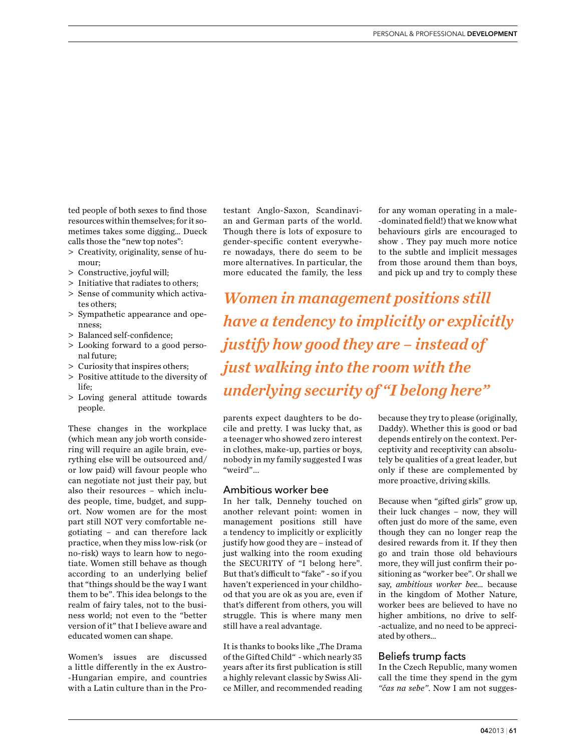ted people of both sexes to find those resources within themselves; for it sometimes takes some digging… Dueck calls those the "new top notes":

- > Creativity, originality, sense of humour;
- > Constructive, joyful will;
- > Initiative that radiates to others;
- > Sense of community which activates others;
- > Sympathetic appearance and openness;
- > Balanced self-confidence;
- > Looking forward to a good personal future;
- > Curiosity that inspires others;
- > Positive attitude to the diversity of life:
- > Loving general attitude towards people.

These changes in the workplace (which mean any job worth considering will require an agile brain, everything else will be outsourced and/ or low paid) will favour people who can negotiate not just their pay, but also their resources – which includes people, time, budget, and support. Now women are for the most part still NOT very comfortable negotiating – and can therefore lack practice, when they miss low-risk (or no-risk) ways to learn how to negotiate. Women still behave as though according to an underlying belief that "things should be the way I want them to be". This idea belongs to the realm of fairy tales, not to the business world; not even to the "better version of it" that I believe aware and educated women can shape.

Women's issues are discussed a little differently in the ex Austro- -Hungarian empire, and countries with a Latin culture than in the Protestant Anglo-Saxon, Scandinavian and German parts of the world. Though there is lots of exposure to gender-specific content everywhere nowadays, there do seem to be more alternatives. In particular, the more educated the family, the less for any woman operating in a male- -dominated field!) that we know what behaviours girls are encouraged to show . They pay much more notice to the subtle and implicit messages from those around them than boys, and pick up and try to comply these

*Women in management positions still have a tendency to implicitly or explicitly justify how good they are – instead of just walking into the room with the underlying security of "I belong here"*

parents expect daughters to be docile and pretty. I was lucky that, as a teenager who showed zero interest in clothes, make-up, parties or boys, nobody in my family suggested I was "weird"...

#### Ambitious worker bee

In her talk, Dennehy touched on another relevant point: women in management positions still have a tendency to implicitly or explicitly justify how good they are – instead of just walking into the room exuding the SECURITY of "I belong here". But that's difficult to "fake" - so if you haven't experienced in your childhood that you are ok as you are, even if that's different from others, you will struggle. This is where many men still have a real advantage.

It is thanks to books like "The Drama of the Gifted Child" - which nearly 35 years after its first publication is still a highly relevant classic by Swiss Alice Miller, and recommended reading

because they try to please (originally, Daddy). Whether this is good or bad depends entirely on the context. Perceptivity and receptivity can absolutely be qualities of a great leader, but only if these are complemented by more proactive, driving skills.

Because when "gifted girls" grow up, their luck changes – now, they will often just do more of the same, even though they can no longer reap the desired rewards from it. If they then go and train those old behaviours more, they will just confirm their positioning as "worker bee". Or shall we say, *ambitious worker bee…* because in the kingdom of Mother Nature, worker bees are believed to have no higher ambitions, no drive to self- -actualize, and no need to be appreciated by others…

#### Beliefs trump facts

In the Czech Republic, many women call the time they spend in the gym *"čas na sebe"*. Now I am not sugges-